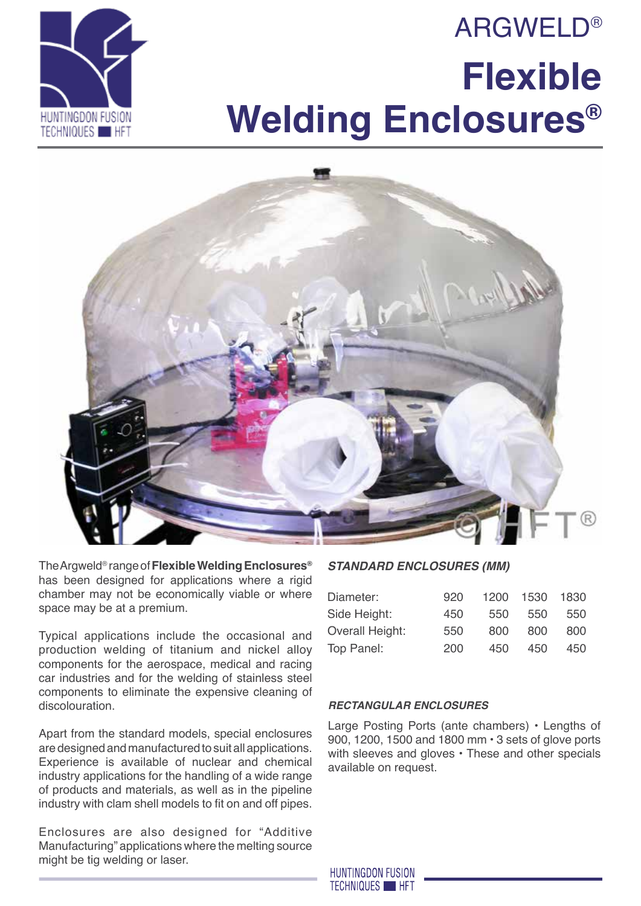# **ARGWELD® Flexible Welding Enclosures®**





The Argweld® range of **Flexible Welding Enclosures®** has been designed for applications where a rigid chamber may not be economically viable or where space may be at a premium.

Typical applications include the occasional and production welding of titanium and nickel alloy components for the aerospace, medical and racing car industries and for the welding of stainless steel components to eliminate the expensive cleaning of discolouration.

Apart from the standard models, special enclosures are designed and manufactured to suit all applications. Experience is available of nuclear and chemical industry applications for the handling of a wide range of products and materials, as well as in the pipeline industry with clam shell models to fit on and off pipes.

Enclosures are also designed for "Additive Manufacturing" applications where the melting source might be tig welding or laser.

### *Standard Enclosures (mm)*

| Diameter:              | 920 | 1200 | 1530 | 1830 |
|------------------------|-----|------|------|------|
| Side Height:           | 450 | 550  | 550  | 550  |
| <b>Overall Height:</b> | 550 | 800  | 800  | 800  |
| Top Panel:             | 200 | 450  | 450  | 450  |
|                        |     |      |      |      |

#### *Rectangular Enclosures*

Large Posting Ports (ante chambers) • Lengths of 900, 1200, 1500 and 1800 mm • 3 sets of glove ports with sleeves and gloves • These and other specials available on request.

**HUNTINGDON FUSION TECHNIQUES HET**